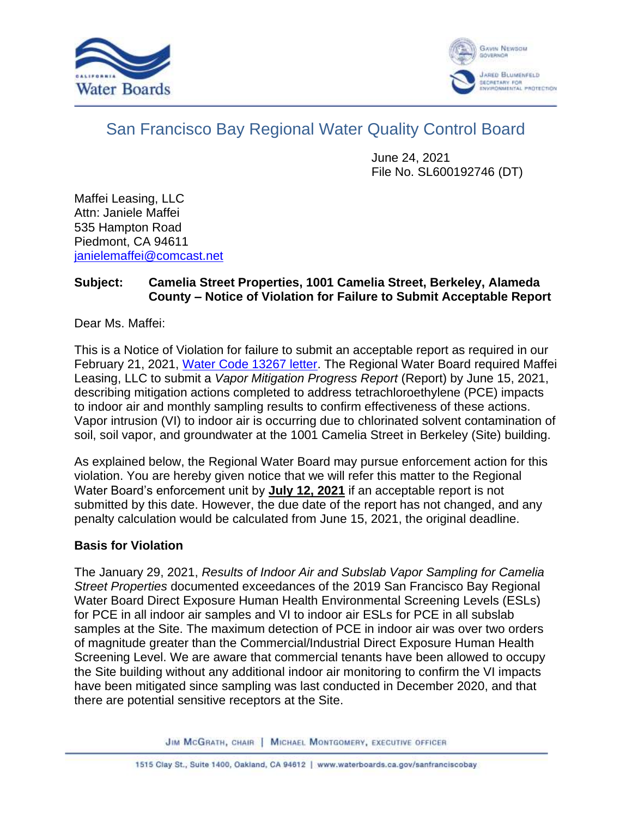



## San Francisco Bay Regional Water Quality Control Board

June 24, 2021 File No. SL600192746 (DT)

Maffei Leasing, LLC Attn: Janiele Maffei 535 Hampton Road Piedmont, CA 94611 [janielemaffei@comcast.net](mailto:janielemaffei@comcast.net)

## **Subject: Camelia Street Properties, 1001 Camelia Street, Berkeley, Alameda County – Notice of Violation for Failure to Submit Acceptable Report**

Dear Ms. Maffei:

This is a Notice of Violation for failure to submit an acceptable report as required in our February 21, 2021, [Water Code 13267 letter.](https://geotracker.waterboards.ca.gov/profile_report.asp?global_id=SL600192746) The Regional Water Board required Maffei Leasing, LLC to submit a *Vapor Mitigation Progress Report* (Report) by June 15, 2021, describing mitigation actions completed to address tetrachloroethylene (PCE) impacts to indoor air and monthly sampling results to confirm effectiveness of these actions. Vapor intrusion (VI) to indoor air is occurring due to chlorinated solvent contamination of soil, soil vapor, and groundwater at the 1001 Camelia Street in Berkeley (Site) building.

As explained below, the Regional Water Board may pursue enforcement action for this violation. You are hereby given notice that we will refer this matter to the Regional Water Board's enforcement unit by **July 12, 2021** if an acceptable report is not submitted by this date. However, the due date of the report has not changed, and any penalty calculation would be calculated from June 15, 2021, the original deadline.

## **Basis for Violation**

The January 29, 2021, *Results of Indoor Air and Subslab Vapor Sampling for Camelia Street Properties* documented exceedances of the 2019 San Francisco Bay Regional Water Board Direct Exposure Human Health Environmental Screening Levels (ESLs) for PCE in all indoor air samples and VI to indoor air ESLs for PCE in all subslab samples at the Site. The maximum detection of PCE in indoor air was over two orders of magnitude greater than the Commercial/Industrial Direct Exposure Human Health Screening Level. We are aware that commercial tenants have been allowed to occupy the Site building without any additional indoor air monitoring to confirm the VI impacts have been mitigated since sampling was last conducted in December 2020, and that there are potential sensitive receptors at the Site.

JIM MCGRATH, CHAIR | MICHAEL MONTGOMERY, EXECUTIVE OFFICER